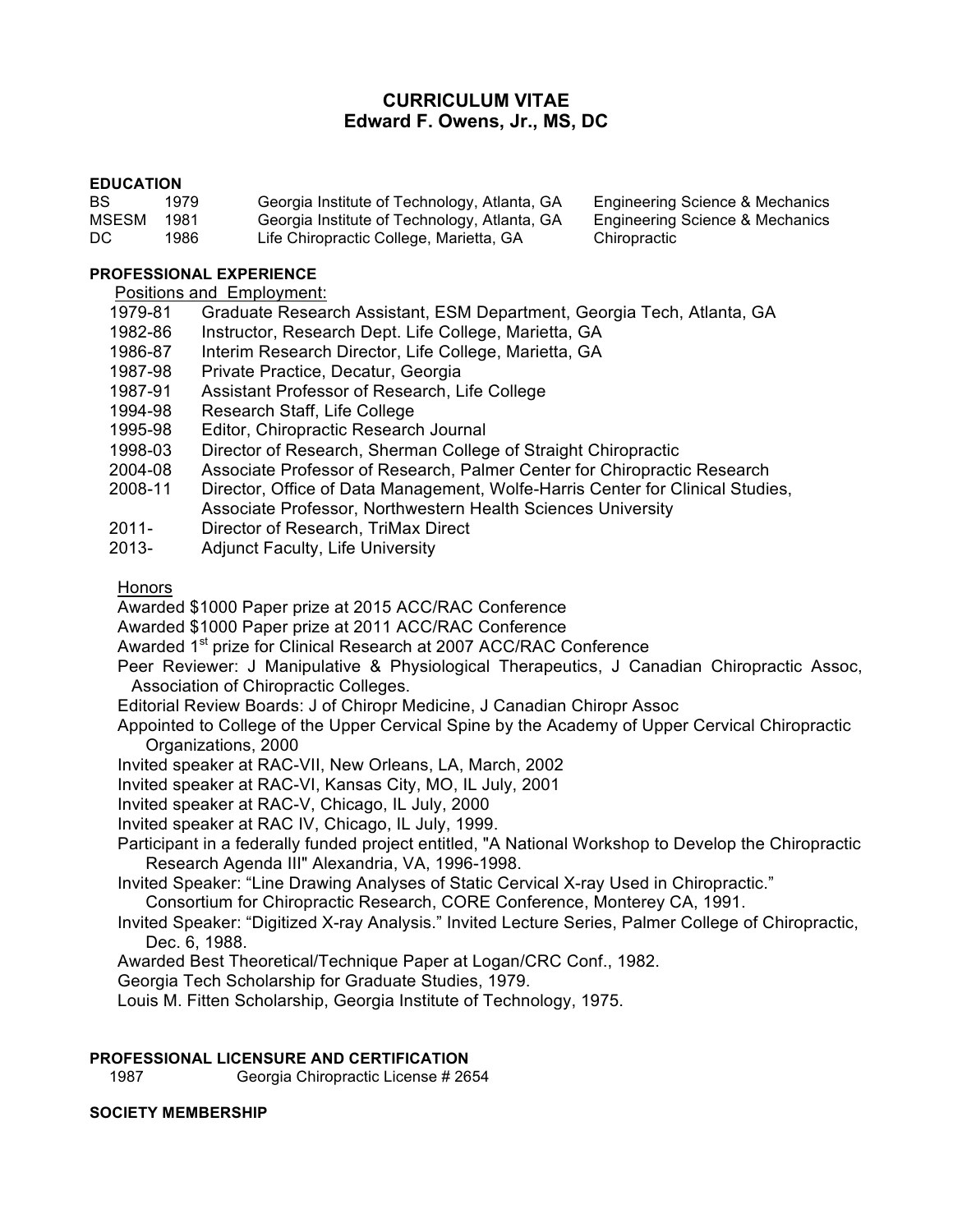# **CURRICULUM VITAE Edward F. Owens, Jr., MS, DC**

Engineering Science & Mechanics Engineering Science & Mechanics

### **EDUCATION**

| BS.   | 1979 | Georgia Institute of Technology, Atlanta, GA | Engineering  |
|-------|------|----------------------------------------------|--------------|
| MSESM | 1981 | Georgia Institute of Technology, Atlanta, GA | Engineering  |
| DC.   | 1986 | Life Chiropractic College, Marietta, GA      | Chiropractic |

**PROFESSIONAL EXPERIENCE**

Positions and Employment:

- 1979-81 Graduate Research Assistant, ESM Department, Georgia Tech, Atlanta, GA
- 1982-86 Instructor, Research Dept. Life College, Marietta, GA
- 1986-87 Interim Research Director, Life College, Marietta, GA
- 1987-98 Private Practice, Decatur, Georgia
- 1987-91 Assistant Professor of Research, Life College
- 1994-98 Research Staff, Life College
- 1995-98 Editor, Chiropractic Research Journal
- 1998-03 Director of Research, Sherman College of Straight Chiropractic
- 2004-08 Associate Professor of Research, Palmer Center for Chiropractic Research
- 2008-11 Director, Office of Data Management, Wolfe-Harris Center for Clinical Studies, Associate Professor, Northwestern Health Sciences University
- 2011- Director of Research, TriMax Direct
- 2013- Adjunct Faculty, Life University

**Honors** 

Awarded \$1000 Paper prize at 2015 ACC/RAC Conference

Awarded \$1000 Paper prize at 2011 ACC/RAC Conference

Awarded 1<sup>st</sup> prize for Clinical Research at 2007 ACC/RAC Conference

Peer Reviewer: J Manipulative & Physiological Therapeutics, J Canadian Chiropractic Assoc, Association of Chiropractic Colleges.

Editorial Review Boards: J of Chiropr Medicine, J Canadian Chiropr Assoc

Appointed to College of the Upper Cervical Spine by the Academy of Upper Cervical Chiropractic Organizations, 2000

Invited speaker at RAC-VII, New Orleans, LA, March, 2002

Invited speaker at RAC-VI, Kansas City, MO, IL July, 2001

Invited speaker at RAC-V, Chicago, IL July, 2000

Invited speaker at RAC IV, Chicago, IL July, 1999.

Participant in a federally funded project entitled, "A National Workshop to Develop the Chiropractic Research Agenda III" Alexandria, VA, 1996-1998.

Invited Speaker: "Line Drawing Analyses of Static Cervical X-ray Used in Chiropractic."

Consortium for Chiropractic Research, CORE Conference, Monterey CA, 1991.

Invited Speaker: "Digitized X-ray Analysis." Invited Lecture Series, Palmer College of Chiropractic, Dec. 6, 1988.

Awarded Best Theoretical/Technique Paper at Logan/CRC Conf., 1982.

Georgia Tech Scholarship for Graduate Studies, 1979.

Louis M. Fitten Scholarship, Georgia Institute of Technology, 1975.

#### **PROFESSIONAL LICENSURE AND CERTIFICATION**

1987 Georgia Chiropractic License # 2654

### **SOCIETY MEMBERSHIP**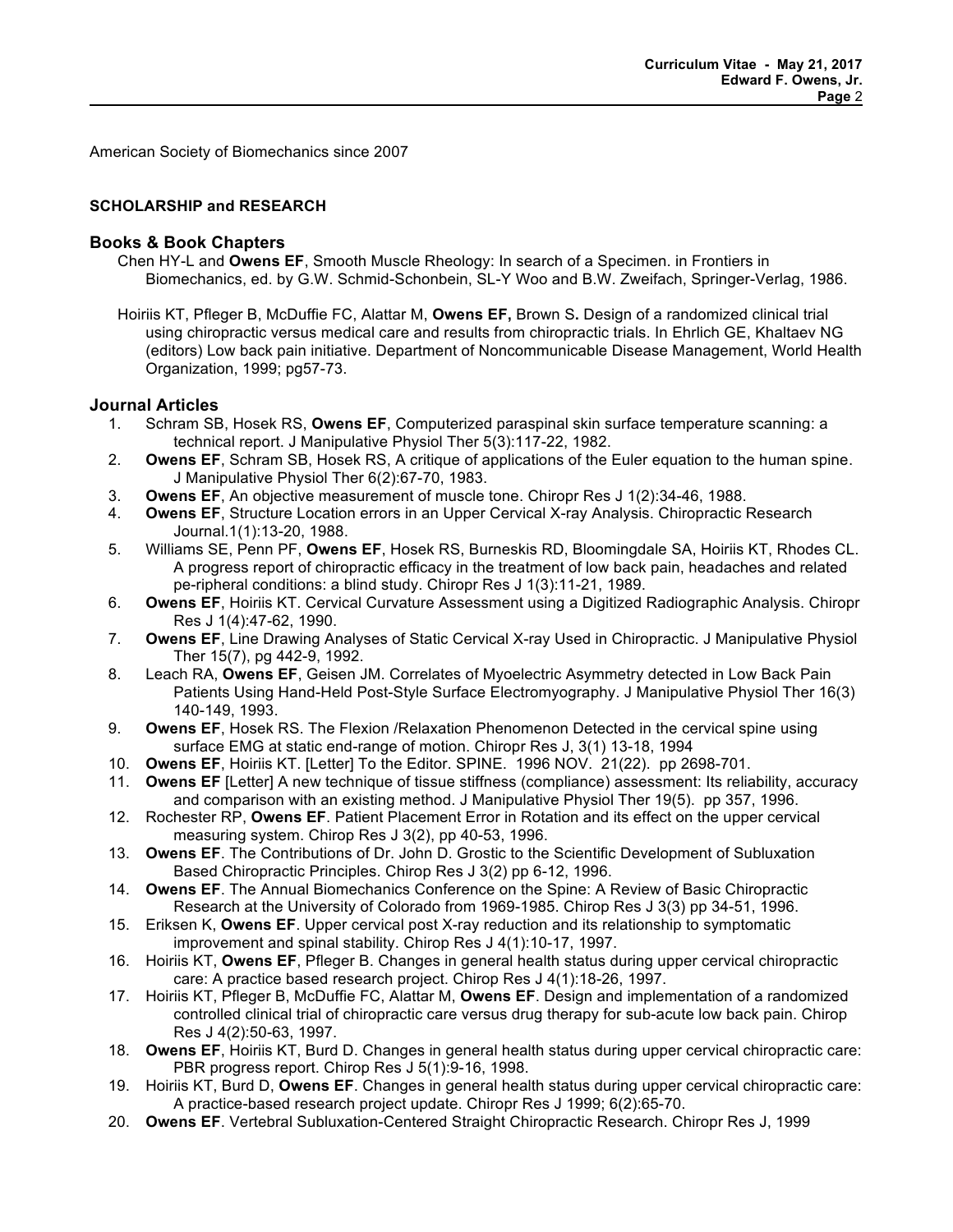American Society of Biomechanics since 2007

### **SCHOLARSHIP and RESEARCH**

### **Books & Book Chapters**

- Chen HY-L and **Owens EF**, Smooth Muscle Rheology: In search of a Specimen. in Frontiers in Biomechanics, ed. by G.W. Schmid-Schonbein, SL-Y Woo and B.W. Zweifach, Springer-Verlag, 1986.
- Hoiriis KT, Pfleger B, McDuffie FC, Alattar M, **Owens EF,** Brown S**.** Design of a randomized clinical trial using chiropractic versus medical care and results from chiropractic trials. In Ehrlich GE, Khaltaev NG (editors) Low back pain initiative. Department of Noncommunicable Disease Management, World Health Organization, 1999; pg57-73.

#### **Journal Articles**

- 1. Schram SB, Hosek RS, **Owens EF**, Computerized paraspinal skin surface temperature scanning: a technical report. J Manipulative Physiol Ther 5(3):117-22, 1982.
- 2. **Owens EF**, Schram SB, Hosek RS, A critique of applications of the Euler equation to the human spine. J Manipulative Physiol Ther 6(2):67-70, 1983.
- 3. **Owens EF**, An objective measurement of muscle tone. Chiropr Res J 1(2):34-46, 1988.
- 4. **Owens EF**, Structure Location errors in an Upper Cervical X-ray Analysis. Chiropractic Research Journal.1(1):13-20, 1988.
- 5. Williams SE, Penn PF, **Owens EF**, Hosek RS, Burneskis RD, Bloomingdale SA, Hoiriis KT, Rhodes CL. A progress report of chiropractic efficacy in the treatment of low back pain, headaches and related pe-ripheral conditions: a blind study. Chiropr Res J 1(3):11-21, 1989.
- 6. **Owens EF**, Hoiriis KT. Cervical Curvature Assessment using a Digitized Radiographic Analysis. Chiropr Res J 1(4):47-62, 1990.
- 7. **Owens EF**, Line Drawing Analyses of Static Cervical X-ray Used in Chiropractic. J Manipulative Physiol Ther 15(7), pg 442-9, 1992.
- 8. Leach RA, **Owens EF**, Geisen JM. Correlates of Myoelectric Asymmetry detected in Low Back Pain Patients Using Hand-Held Post-Style Surface Electromyography. J Manipulative Physiol Ther 16(3) 140-149, 1993.
- 9. **Owens EF**, Hosek RS. The Flexion /Relaxation Phenomenon Detected in the cervical spine using surface EMG at static end-range of motion. Chiropr Res J, 3(1) 13-18, 1994
- 10. **Owens EF**, Hoiriis KT. [Letter] To the Editor. SPINE. 1996 NOV. 21(22). pp 2698-701.
- 11. **Owens EF** [Letter] A new technique of tissue stiffness (compliance) assessment: Its reliability, accuracy and comparison with an existing method. J Manipulative Physiol Ther 19(5). pp 357, 1996.
- 12. Rochester RP, **Owens EF**. Patient Placement Error in Rotation and its effect on the upper cervical measuring system. Chirop Res J 3(2), pp 40-53, 1996.
- 13. **Owens EF**. The Contributions of Dr. John D. Grostic to the Scientific Development of Subluxation Based Chiropractic Principles. Chirop Res J 3(2) pp 6-12, 1996.
- 14. **Owens EF**. The Annual Biomechanics Conference on the Spine: A Review of Basic Chiropractic Research at the University of Colorado from 1969-1985. Chirop Res J 3(3) pp 34-51, 1996.
- 15. Eriksen K, **Owens EF**. Upper cervical post X-ray reduction and its relationship to symptomatic improvement and spinal stability. Chirop Res J 4(1):10-17, 1997.
- 16. Hoiriis KT, **Owens EF**, Pfleger B. Changes in general health status during upper cervical chiropractic care: A practice based research project. Chirop Res J 4(1):18-26, 1997.
- 17. Hoiriis KT, Pfleger B, McDuffie FC, Alattar M, **Owens EF**. Design and implementation of a randomized controlled clinical trial of chiropractic care versus drug therapy for sub-acute low back pain. Chirop Res J 4(2):50-63, 1997.
- 18. **Owens EF**, Hoiriis KT, Burd D. Changes in general health status during upper cervical chiropractic care: PBR progress report. Chirop Res J 5(1):9-16, 1998.
- 19. Hoiriis KT, Burd D, **Owens EF**. Changes in general health status during upper cervical chiropractic care: A practice-based research project update. Chiropr Res J 1999; 6(2):65-70.
- 20. **Owens EF**. Vertebral Subluxation-Centered Straight Chiropractic Research. Chiropr Res J, 1999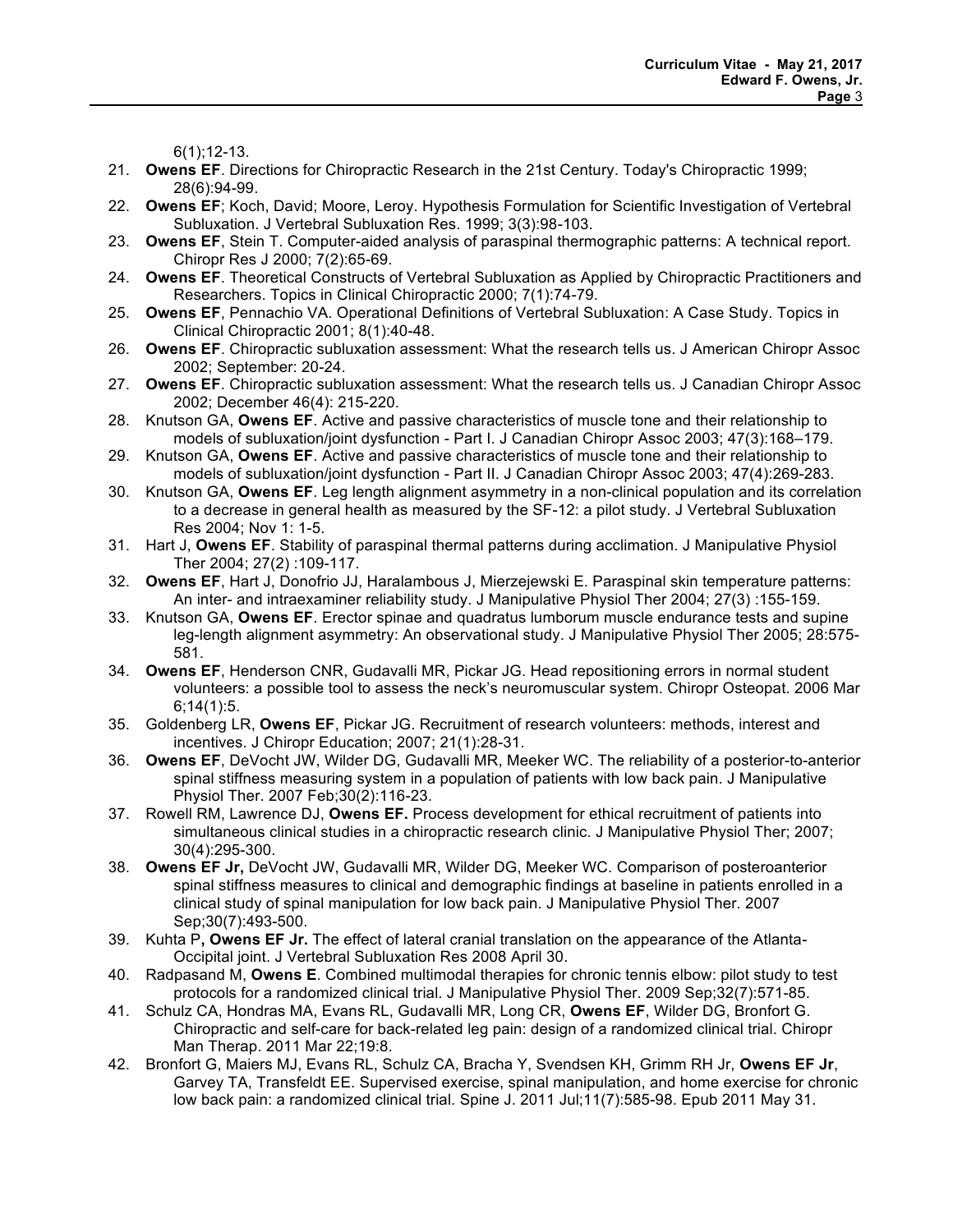6(1);12-13.

- 21. **Owens EF**. Directions for Chiropractic Research in the 21st Century. Today's Chiropractic 1999; 28(6):94-99.
- 22. **Owens EF**; Koch, David; Moore, Leroy. Hypothesis Formulation for Scientific Investigation of Vertebral Subluxation. J Vertebral Subluxation Res. 1999; 3(3):98-103.
- 23. **Owens EF**, Stein T. Computer-aided analysis of paraspinal thermographic patterns: A technical report. Chiropr Res J 2000; 7(2):65-69.
- 24. **Owens EF**. Theoretical Constructs of Vertebral Subluxation as Applied by Chiropractic Practitioners and Researchers. Topics in Clinical Chiropractic 2000; 7(1):74-79.
- 25. **Owens EF**, Pennachio VA. Operational Definitions of Vertebral Subluxation: A Case Study. Topics in Clinical Chiropractic 2001; 8(1):40-48.
- 26. **Owens EF**. Chiropractic subluxation assessment: What the research tells us. J American Chiropr Assoc 2002; September: 20-24.
- 27. **Owens EF**. Chiropractic subluxation assessment: What the research tells us. J Canadian Chiropr Assoc 2002; December 46(4): 215-220.
- 28. Knutson GA, **Owens EF**. Active and passive characteristics of muscle tone and their relationship to models of subluxation/joint dysfunction - Part I. J Canadian Chiropr Assoc 2003; 47(3):168–179.
- 29. Knutson GA, **Owens EF**. Active and passive characteristics of muscle tone and their relationship to models of subluxation/joint dysfunction - Part II. J Canadian Chiropr Assoc 2003; 47(4):269-283.
- 30. Knutson GA, **Owens EF**. Leg length alignment asymmetry in a non-clinical population and its correlation to a decrease in general health as measured by the SF-12: a pilot study. J Vertebral Subluxation Res 2004; Nov 1: 1-5.
- 31. Hart J, **Owens EF**. Stability of paraspinal thermal patterns during acclimation. J Manipulative Physiol Ther 2004; 27(2) :109-117.
- 32. **Owens EF**, Hart J, Donofrio JJ, Haralambous J, Mierzejewski E. Paraspinal skin temperature patterns: An inter- and intraexaminer reliability study. J Manipulative Physiol Ther 2004; 27(3) :155-159.
- 33. Knutson GA, **Owens EF**. Erector spinae and quadratus lumborum muscle endurance tests and supine leg-length alignment asymmetry: An observational study. J Manipulative Physiol Ther 2005; 28:575- 581.
- 34. **Owens EF**, Henderson CNR, Gudavalli MR, Pickar JG. Head repositioning errors in normal student volunteers: a possible tool to assess the neck's neuromuscular system. Chiropr Osteopat. 2006 Mar  $6:14(1):5$ .
- 35. Goldenberg LR, **Owens EF**, Pickar JG. Recruitment of research volunteers: methods, interest and incentives. J Chiropr Education; 2007; 21(1):28-31.
- 36. **Owens EF**, DeVocht JW, Wilder DG, Gudavalli MR, Meeker WC. The reliability of a posterior-to-anterior spinal stiffness measuring system in a population of patients with low back pain. J Manipulative Physiol Ther. 2007 Feb;30(2):116-23.
- 37. Rowell RM, Lawrence DJ, **Owens EF.** Process development for ethical recruitment of patients into simultaneous clinical studies in a chiropractic research clinic. J Manipulative Physiol Ther; 2007; 30(4):295-300.
- 38. **Owens EF Jr,** DeVocht JW, Gudavalli MR, Wilder DG, Meeker WC. Comparison of posteroanterior spinal stiffness measures to clinical and demographic findings at baseline in patients enrolled in a clinical study of spinal manipulation for low back pain. J Manipulative Physiol Ther. 2007 Sep;30(7):493-500.
- 39. Kuhta P**, Owens EF Jr.** The effect of lateral cranial translation on the appearance of the Atlanta-Occipital joint. J Vertebral Subluxation Res 2008 April 30.
- 40. Radpasand M, **Owens E**. Combined multimodal therapies for chronic tennis elbow: pilot study to test protocols for a randomized clinical trial. J Manipulative Physiol Ther. 2009 Sep;32(7):571-85.
- 41. Schulz CA, Hondras MA, Evans RL, Gudavalli MR, Long CR, **Owens EF**, Wilder DG, Bronfort G. Chiropractic and self-care for back-related leg pain: design of a randomized clinical trial. Chiropr Man Therap. 2011 Mar 22;19:8.
- 42. Bronfort G, Maiers MJ, Evans RL, Schulz CA, Bracha Y, Svendsen KH, Grimm RH Jr, **Owens EF Jr**, Garvey TA, Transfeldt EE. Supervised exercise, spinal manipulation, and home exercise for chronic low back pain: a randomized clinical trial. Spine J. 2011 Jul;11(7):585-98. Epub 2011 May 31.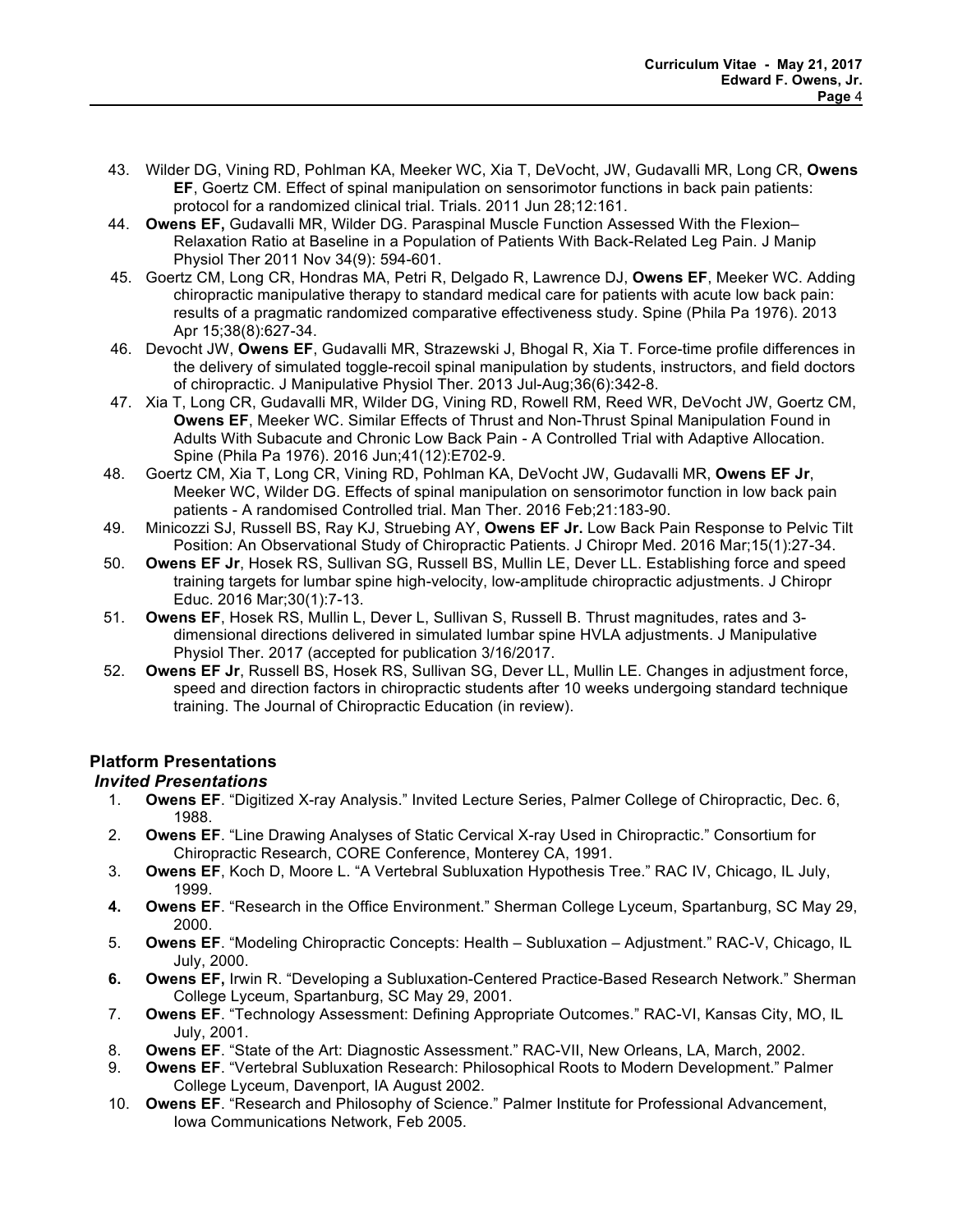- 43. Wilder DG, Vining RD, Pohlman KA, Meeker WC, Xia T, DeVocht, JW, Gudavalli MR, Long CR, **Owens EF**, Goertz CM. Effect of spinal manipulation on sensorimotor functions in back pain patients: protocol for a randomized clinical trial. Trials. 2011 Jun 28;12:161.
- 44. **Owens EF,** Gudavalli MR, Wilder DG. Paraspinal Muscle Function Assessed With the Flexion– Relaxation Ratio at Baseline in a Population of Patients With Back-Related Leg Pain. J Manip Physiol Ther 2011 Nov 34(9): 594-601.
- 45. Goertz CM, Long CR, Hondras MA, Petri R, Delgado R, Lawrence DJ, **Owens EF**, Meeker WC. Adding chiropractic manipulative therapy to standard medical care for patients with acute low back pain: results of a pragmatic randomized comparative effectiveness study. Spine (Phila Pa 1976). 2013 Apr 15;38(8):627-34.
- 46. Devocht JW, **Owens EF**, Gudavalli MR, Strazewski J, Bhogal R, Xia T. Force-time profile differences in the delivery of simulated toggle-recoil spinal manipulation by students, instructors, and field doctors of chiropractic. J Manipulative Physiol Ther. 2013 Jul-Aug;36(6):342-8.
- 47. Xia T, Long CR, Gudavalli MR, Wilder DG, Vining RD, Rowell RM, Reed WR, DeVocht JW, Goertz CM, **Owens EF**, Meeker WC. Similar Effects of Thrust and Non-Thrust Spinal Manipulation Found in Adults With Subacute and Chronic Low Back Pain - A Controlled Trial with Adaptive Allocation. Spine (Phila Pa 1976). 2016 Jun;41(12):E702-9.
- 48. Goertz CM, Xia T, Long CR, Vining RD, Pohlman KA, DeVocht JW, Gudavalli MR, **Owens EF Jr**, Meeker WC, Wilder DG. Effects of spinal manipulation on sensorimotor function in low back pain patients - A randomised Controlled trial. Man Ther. 2016 Feb;21:183-90.
- 49. Minicozzi SJ, Russell BS, Ray KJ, Struebing AY, **Owens EF Jr.** Low Back Pain Response to Pelvic Tilt Position: An Observational Study of Chiropractic Patients. J Chiropr Med. 2016 Mar;15(1):27-34.
- 50. **Owens EF Jr**, Hosek RS, Sullivan SG, Russell BS, Mullin LE, Dever LL. Establishing force and speed training targets for lumbar spine high-velocity, low-amplitude chiropractic adjustments. J Chiropr Educ. 2016 Mar;30(1):7-13.
- 51. **Owens EF**, Hosek RS, Mullin L, Dever L, Sullivan S, Russell B. Thrust magnitudes, rates and 3 dimensional directions delivered in simulated lumbar spine HVLA adjustments. J Manipulative Physiol Ther. 2017 (accepted for publication 3/16/2017.
- 52. **Owens EF Jr**, Russell BS, Hosek RS, Sullivan SG, Dever LL, Mullin LE. Changes in adjustment force, speed and direction factors in chiropractic students after 10 weeks undergoing standard technique training. The Journal of Chiropractic Education (in review).

# **Platform Presentations**

## *Invited Presentations*

- 1. **Owens EF**. "Digitized X-ray Analysis." Invited Lecture Series, Palmer College of Chiropractic, Dec. 6, 1988.
- 2. **Owens EF**. "Line Drawing Analyses of Static Cervical X-ray Used in Chiropractic." Consortium for Chiropractic Research, CORE Conference, Monterey CA, 1991.
- 3. **Owens EF**, Koch D, Moore L. "A Vertebral Subluxation Hypothesis Tree." RAC IV, Chicago, IL July, 1999.
- **4. Owens EF**. "Research in the Office Environment." Sherman College Lyceum, Spartanburg, SC May 29, 2000.
- 5. **Owens EF**. "Modeling Chiropractic Concepts: Health Subluxation Adjustment." RAC-V, Chicago, IL July, 2000.
- **6. Owens EF,** Irwin R. "Developing a Subluxation-Centered Practice-Based Research Network." Sherman College Lyceum, Spartanburg, SC May 29, 2001.
- 7. **Owens EF**. "Technology Assessment: Defining Appropriate Outcomes." RAC-VI, Kansas City, MO, IL July, 2001.
- 8. **Owens EF**. "State of the Art: Diagnostic Assessment." RAC-VII, New Orleans, LA, March, 2002.
- 9. **Owens EF**. "Vertebral Subluxation Research: Philosophical Roots to Modern Development." Palmer College Lyceum, Davenport, IA August 2002.
- 10. **Owens EF**. "Research and Philosophy of Science." Palmer Institute for Professional Advancement, Iowa Communications Network, Feb 2005.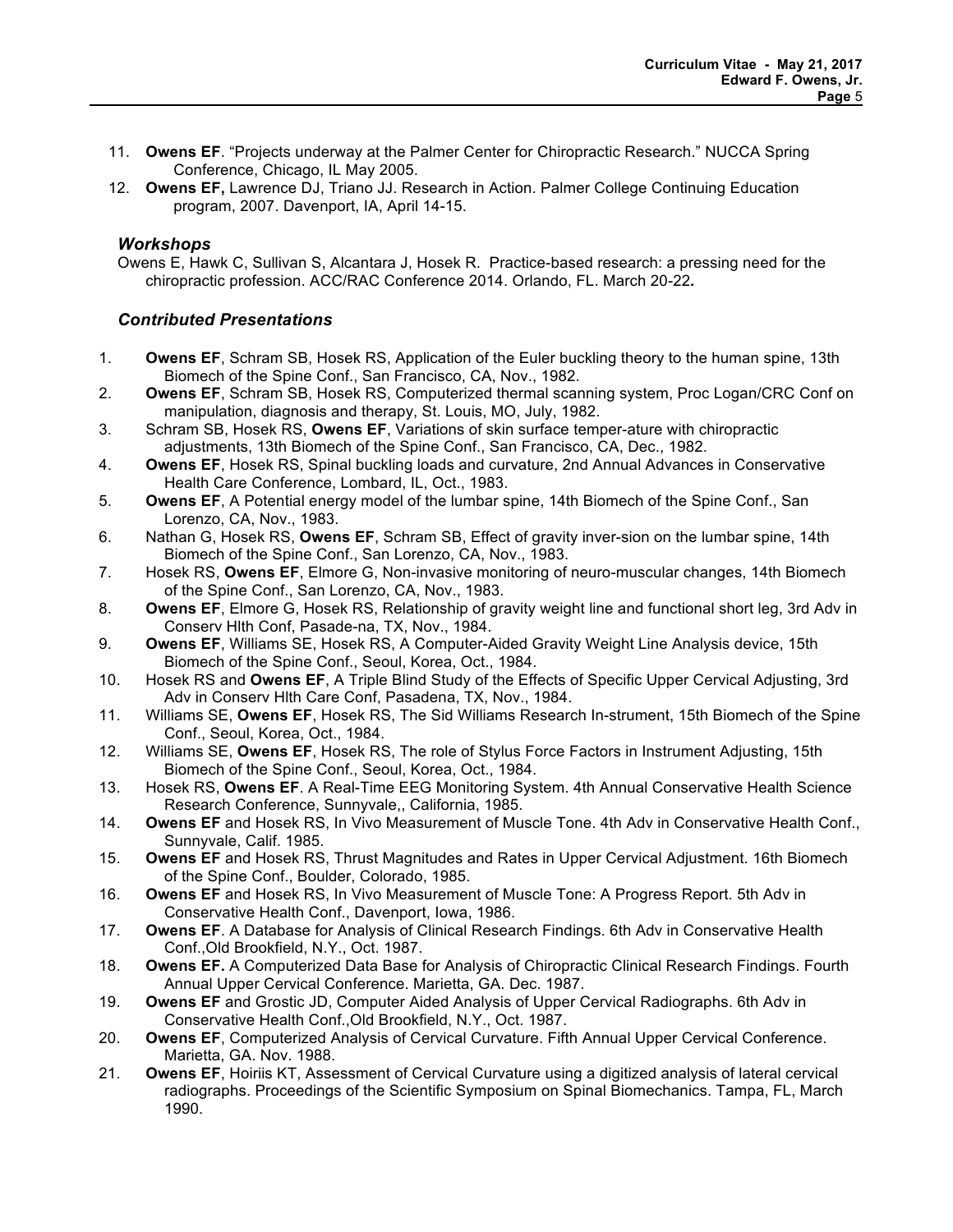- 11. **Owens EF**. "Projects underway at the Palmer Center for Chiropractic Research." NUCCA Spring Conference, Chicago, IL May 2005.
- 12. **Owens EF,** Lawrence DJ, Triano JJ. Research in Action. Palmer College Continuing Education program, 2007. Davenport, IA, April 14-15.

### *Workshops*

Owens E, Hawk C, Sullivan S, Alcantara J, Hosek R. Practice-based research: a pressing need for the chiropractic profession. ACC/RAC Conference 2014. Orlando, FL. March 20-22*.*

## *Contributed Presentations*

- 1. **Owens EF**, Schram SB, Hosek RS, Application of the Euler buckling theory to the human spine, 13th Biomech of the Spine Conf., San Francisco, CA, Nov., 1982.
- 2. **Owens EF**, Schram SB, Hosek RS, Computerized thermal scanning system, Proc Logan/CRC Conf on manipulation, diagnosis and therapy, St. Louis, MO, July, 1982.
- 3. Schram SB, Hosek RS, **Owens EF**, Variations of skin surface temper-ature with chiropractic adjustments, 13th Biomech of the Spine Conf., San Francisco, CA, Dec., 1982.
- 4. **Owens EF**, Hosek RS, Spinal buckling loads and curvature, 2nd Annual Advances in Conservative Health Care Conference, Lombard, IL, Oct., 1983.
- 5. **Owens EF**, A Potential energy model of the lumbar spine, 14th Biomech of the Spine Conf., San Lorenzo, CA, Nov., 1983.
- 6. Nathan G, Hosek RS, **Owens EF**, Schram SB, Effect of gravity inver-sion on the lumbar spine, 14th Biomech of the Spine Conf., San Lorenzo, CA, Nov., 1983.
- 7. Hosek RS, **Owens EF**, Elmore G, Non-invasive monitoring of neuro-muscular changes, 14th Biomech of the Spine Conf., San Lorenzo, CA, Nov., 1983.
- 8. **Owens EF**, Elmore G, Hosek RS, Relationship of gravity weight line and functional short leg, 3rd Adv in Conserv Hlth Conf, Pasade-na, TX, Nov., 1984.
- 9. **Owens EF**, Williams SE, Hosek RS, A Computer-Aided Gravity Weight Line Analysis device, 15th Biomech of the Spine Conf., Seoul, Korea, Oct., 1984.
- 10. Hosek RS and **Owens EF**, A Triple Blind Study of the Effects of Specific Upper Cervical Adjusting, 3rd Adv in Conserv Hlth Care Conf, Pasadena, TX, Nov., 1984.
- 11. Williams SE, **Owens EF**, Hosek RS, The Sid Williams Research In-strument, 15th Biomech of the Spine Conf., Seoul, Korea, Oct., 1984.
- 12. Williams SE, **Owens EF**, Hosek RS, The role of Stylus Force Factors in Instrument Adjusting, 15th Biomech of the Spine Conf., Seoul, Korea, Oct., 1984.
- 13. Hosek RS, **Owens EF**. A Real-Time EEG Monitoring System. 4th Annual Conservative Health Science Research Conference, Sunnyvale,, California, 1985.
- 14. **Owens EF** and Hosek RS, In Vivo Measurement of Muscle Tone. 4th Adv in Conservative Health Conf., Sunnyvale, Calif. 1985.
- 15. **Owens EF** and Hosek RS, Thrust Magnitudes and Rates in Upper Cervical Adjustment. 16th Biomech of the Spine Conf., Boulder, Colorado, 1985.
- 16. **Owens EF** and Hosek RS, In Vivo Measurement of Muscle Tone: A Progress Report. 5th Adv in Conservative Health Conf., Davenport, Iowa, 1986.
- 17. **Owens EF**. A Database for Analysis of Clinical Research Findings. 6th Adv in Conservative Health Conf.,Old Brookfield, N.Y., Oct. 1987.
- 18. **Owens EF.** A Computerized Data Base for Analysis of Chiropractic Clinical Research Findings. Fourth Annual Upper Cervical Conference. Marietta, GA. Dec. 1987.
- 19. **Owens EF** and Grostic JD, Computer Aided Analysis of Upper Cervical Radiographs. 6th Adv in Conservative Health Conf.,Old Brookfield, N.Y., Oct. 1987.
- 20. **Owens EF**, Computerized Analysis of Cervical Curvature. Fifth Annual Upper Cervical Conference. Marietta, GA. Nov. 1988.
- 21. **Owens EF**, Hoiriis KT, Assessment of Cervical Curvature using a digitized analysis of lateral cervical radiographs. Proceedings of the Scientific Symposium on Spinal Biomechanics. Tampa, FL, March 1990.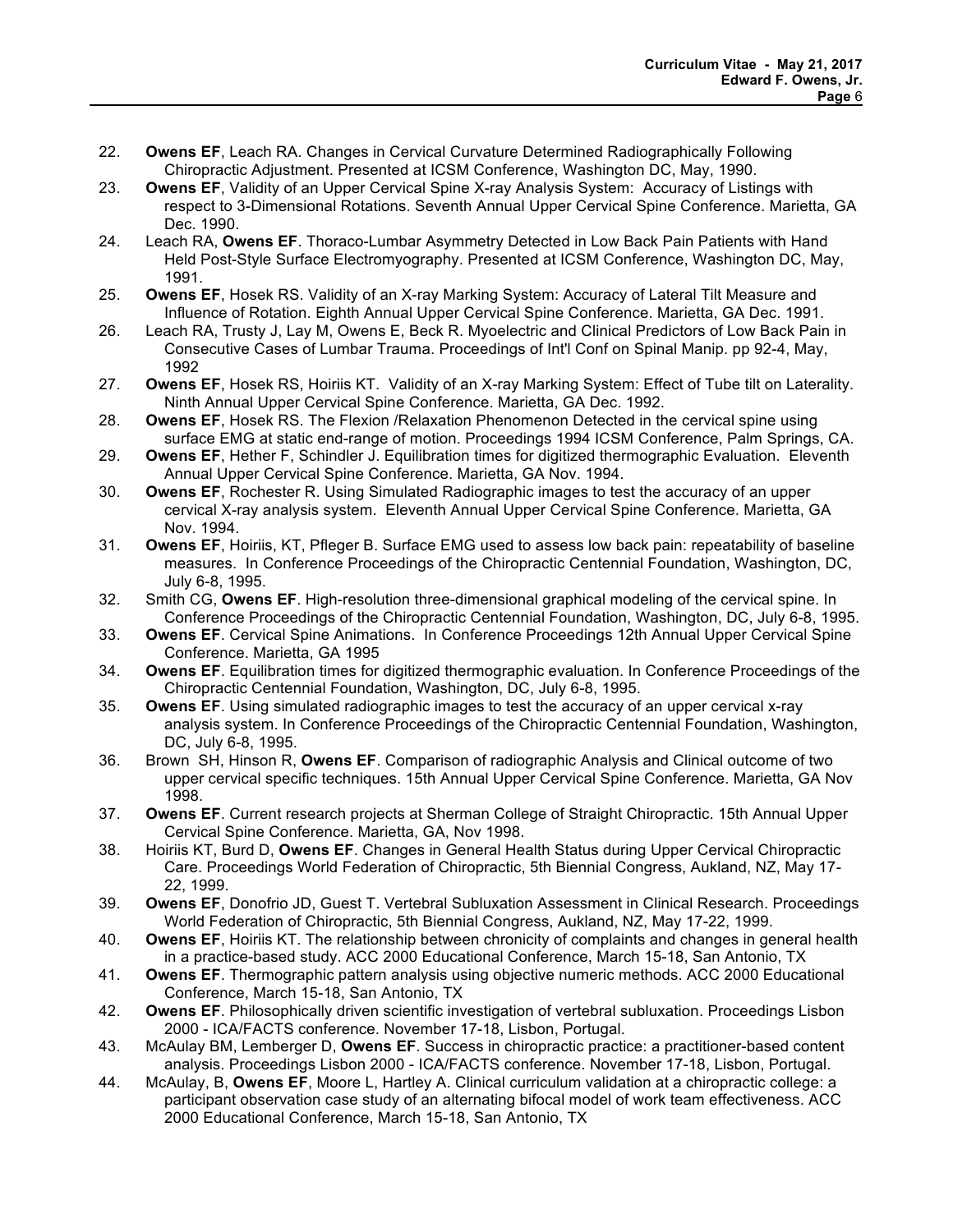- 22. **Owens EF**, Leach RA. Changes in Cervical Curvature Determined Radiographically Following Chiropractic Adjustment. Presented at ICSM Conference, Washington DC, May, 1990.
- 23. **Owens EF**, Validity of an Upper Cervical Spine X-ray Analysis System: Accuracy of Listings with respect to 3-Dimensional Rotations. Seventh Annual Upper Cervical Spine Conference. Marietta, GA Dec. 1990.
- 24. Leach RA, **Owens EF**. Thoraco-Lumbar Asymmetry Detected in Low Back Pain Patients with Hand Held Post-Style Surface Electromyography. Presented at ICSM Conference, Washington DC, May, 1991.
- 25. **Owens EF**, Hosek RS. Validity of an X-ray Marking System: Accuracy of Lateral Tilt Measure and Influence of Rotation. Eighth Annual Upper Cervical Spine Conference. Marietta, GA Dec. 1991.
- 26. Leach RA, Trusty J, Lay M, Owens E, Beck R. Myoelectric and Clinical Predictors of Low Back Pain in Consecutive Cases of Lumbar Trauma. Proceedings of Int'l Conf on Spinal Manip. pp 92-4, May, 1992
- 27. **Owens EF**, Hosek RS, Hoiriis KT. Validity of an X-ray Marking System: Effect of Tube tilt on Laterality. Ninth Annual Upper Cervical Spine Conference. Marietta, GA Dec. 1992.
- 28. **Owens EF**, Hosek RS. The Flexion /Relaxation Phenomenon Detected in the cervical spine using surface EMG at static end-range of motion. Proceedings 1994 ICSM Conference, Palm Springs, CA.
- 29. **Owens EF**, Hether F, Schindler J. Equilibration times for digitized thermographic Evaluation. Eleventh Annual Upper Cervical Spine Conference. Marietta, GA Nov. 1994.
- 30. **Owens EF**, Rochester R. Using Simulated Radiographic images to test the accuracy of an upper cervical X-ray analysis system. Eleventh Annual Upper Cervical Spine Conference. Marietta, GA Nov. 1994.
- 31. **Owens EF**, Hoiriis, KT, Pfleger B. Surface EMG used to assess low back pain: repeatability of baseline measures. In Conference Proceedings of the Chiropractic Centennial Foundation, Washington, DC, July 6-8, 1995.
- 32. Smith CG, **Owens EF**. High-resolution three-dimensional graphical modeling of the cervical spine. In Conference Proceedings of the Chiropractic Centennial Foundation, Washington, DC, July 6-8, 1995.
- 33. **Owens EF**. Cervical Spine Animations. In Conference Proceedings 12th Annual Upper Cervical Spine Conference. Marietta, GA 1995
- 34. **Owens EF**. Equilibration times for digitized thermographic evaluation. In Conference Proceedings of the Chiropractic Centennial Foundation, Washington, DC, July 6-8, 1995.
- 35. **Owens EF**. Using simulated radiographic images to test the accuracy of an upper cervical x-ray analysis system. In Conference Proceedings of the Chiropractic Centennial Foundation, Washington, DC, July 6-8, 1995.
- 36. Brown SH, Hinson R, **Owens EF**. Comparison of radiographic Analysis and Clinical outcome of two upper cervical specific techniques. 15th Annual Upper Cervical Spine Conference. Marietta, GA Nov 1998.
- 37. **Owens EF**. Current research projects at Sherman College of Straight Chiropractic. 15th Annual Upper Cervical Spine Conference. Marietta, GA, Nov 1998.
- 38. Hoiriis KT, Burd D, **Owens EF**. Changes in General Health Status during Upper Cervical Chiropractic Care. Proceedings World Federation of Chiropractic, 5th Biennial Congress, Aukland, NZ, May 17- 22, 1999.
- 39. **Owens EF**, Donofrio JD, Guest T. Vertebral Subluxation Assessment in Clinical Research. Proceedings World Federation of Chiropractic, 5th Biennial Congress, Aukland, NZ, May 17-22, 1999.
- 40. **Owens EF**, Hoiriis KT. The relationship between chronicity of complaints and changes in general health in a practice-based study. ACC 2000 Educational Conference, March 15-18, San Antonio, TX
- 41. **Owens EF**. Thermographic pattern analysis using objective numeric methods. ACC 2000 Educational Conference, March 15-18, San Antonio, TX
- 42. **Owens EF**. Philosophically driven scientific investigation of vertebral subluxation. Proceedings Lisbon 2000 - ICA/FACTS conference. November 17-18, Lisbon, Portugal.
- 43. McAulay BM, Lemberger D, **Owens EF**. Success in chiropractic practice: a practitioner-based content analysis. Proceedings Lisbon 2000 - ICA/FACTS conference. November 17-18, Lisbon, Portugal.
- 44. McAulay, B, **Owens EF**, Moore L, Hartley A. Clinical curriculum validation at a chiropractic college: a participant observation case study of an alternating bifocal model of work team effectiveness. ACC 2000 Educational Conference, March 15-18, San Antonio, TX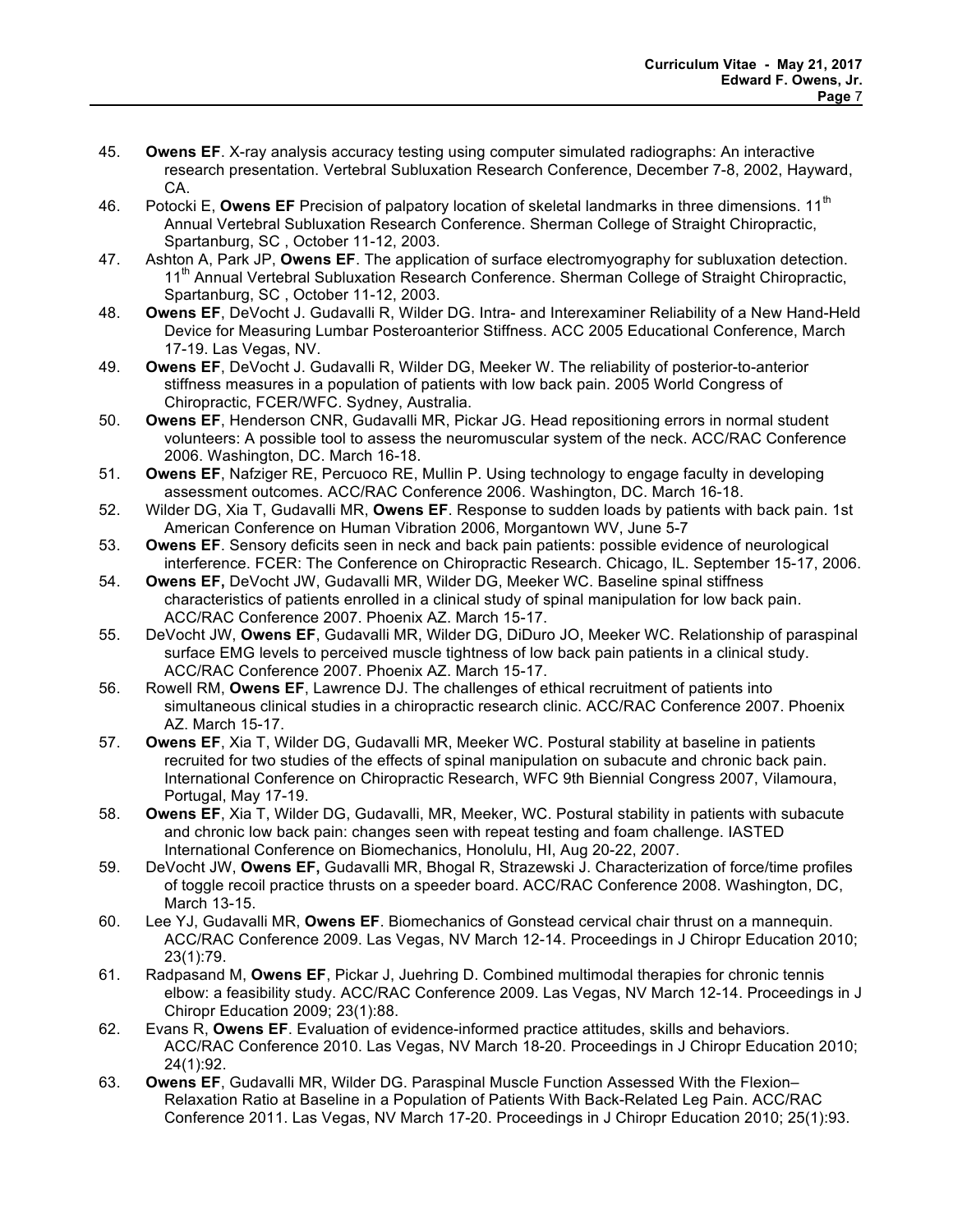- 45. **Owens EF**. X-ray analysis accuracy testing using computer simulated radiographs: An interactive research presentation. Vertebral Subluxation Research Conference, December 7-8, 2002, Hayward, CA.
- 46. Potocki E, Owens EF Precision of palpatory location of skeletal landmarks in three dimensions. 11<sup>th</sup> Annual Vertebral Subluxation Research Conference. Sherman College of Straight Chiropractic, Spartanburg, SC , October 11-12, 2003.
- 47. Ashton A, Park JP, **Owens EF**. The application of surface electromyography for subluxation detection. 11<sup>th</sup> Annual Vertebral Subluxation Research Conference. Sherman College of Straight Chiropractic, Spartanburg, SC , October 11-12, 2003.
- 48. **Owens EF**, DeVocht J. Gudavalli R, Wilder DG. Intra- and Interexaminer Reliability of a New Hand-Held Device for Measuring Lumbar Posteroanterior Stiffness. ACC 2005 Educational Conference, March 17-19. Las Vegas, NV.
- 49. **Owens EF**, DeVocht J. Gudavalli R, Wilder DG, Meeker W. The reliability of posterior-to-anterior stiffness measures in a population of patients with low back pain. 2005 World Congress of Chiropractic, FCER/WFC. Sydney, Australia.
- 50. **Owens EF**, Henderson CNR, Gudavalli MR, Pickar JG. Head repositioning errors in normal student volunteers: A possible tool to assess the neuromuscular system of the neck. ACC/RAC Conference 2006. Washington, DC. March 16-18.
- 51. **Owens EF**, Nafziger RE, Percuoco RE, Mullin P. Using technology to engage faculty in developing assessment outcomes. ACC/RAC Conference 2006. Washington, DC. March 16-18.
- 52. Wilder DG, Xia T, Gudavalli MR, **Owens EF**. Response to sudden loads by patients with back pain. 1st American Conference on Human Vibration 2006, Morgantown WV, June 5-7
- 53. **Owens EF**. Sensory deficits seen in neck and back pain patients: possible evidence of neurological interference. FCER: The Conference on Chiropractic Research. Chicago, IL. September 15-17, 2006.
- 54. **Owens EF,** DeVocht JW, Gudavalli MR, Wilder DG, Meeker WC. Baseline spinal stiffness characteristics of patients enrolled in a clinical study of spinal manipulation for low back pain. ACC/RAC Conference 2007. Phoenix AZ. March 15-17.
- 55. DeVocht JW, **Owens EF**, Gudavalli MR, Wilder DG, DiDuro JO, Meeker WC. Relationship of paraspinal surface EMG levels to perceived muscle tightness of low back pain patients in a clinical study. ACC/RAC Conference 2007. Phoenix AZ. March 15-17.
- 56. Rowell RM, **Owens EF**, Lawrence DJ. The challenges of ethical recruitment of patients into simultaneous clinical studies in a chiropractic research clinic. ACC/RAC Conference 2007. Phoenix AZ. March 15-17.
- 57. **Owens EF**, Xia T, Wilder DG, Gudavalli MR, Meeker WC. Postural stability at baseline in patients recruited for two studies of the effects of spinal manipulation on subacute and chronic back pain. International Conference on Chiropractic Research, WFC 9th Biennial Congress 2007, Vilamoura, Portugal, May 17-19.
- 58. **Owens EF**, Xia T, Wilder DG, Gudavalli, MR, Meeker, WC. Postural stability in patients with subacute and chronic low back pain: changes seen with repeat testing and foam challenge. IASTED International Conference on Biomechanics, Honolulu, HI, Aug 20-22, 2007.
- 59. DeVocht JW, **Owens EF,** Gudavalli MR, Bhogal R, Strazewski J. Characterization of force/time profiles of toggle recoil practice thrusts on a speeder board. ACC/RAC Conference 2008. Washington, DC, March 13-15.
- 60. Lee YJ, Gudavalli MR, **Owens EF**. Biomechanics of Gonstead cervical chair thrust on a mannequin. ACC/RAC Conference 2009. Las Vegas, NV March 12-14. Proceedings in J Chiropr Education 2010; 23(1):79.
- 61. Radpasand M, **Owens EF**, Pickar J, Juehring D. Combined multimodal therapies for chronic tennis elbow: a feasibility study. ACC/RAC Conference 2009. Las Vegas, NV March 12-14. Proceedings in J Chiropr Education 2009; 23(1):88.
- 62. Evans R, **Owens EF**. Evaluation of evidence-informed practice attitudes, skills and behaviors. ACC/RAC Conference 2010. Las Vegas, NV March 18-20. Proceedings in J Chiropr Education 2010; 24(1):92.
- 63. **Owens EF**, Gudavalli MR, Wilder DG. Paraspinal Muscle Function Assessed With the Flexion– Relaxation Ratio at Baseline in a Population of Patients With Back-Related Leg Pain. ACC/RAC Conference 2011. Las Vegas, NV March 17-20. Proceedings in J Chiropr Education 2010; 25(1):93.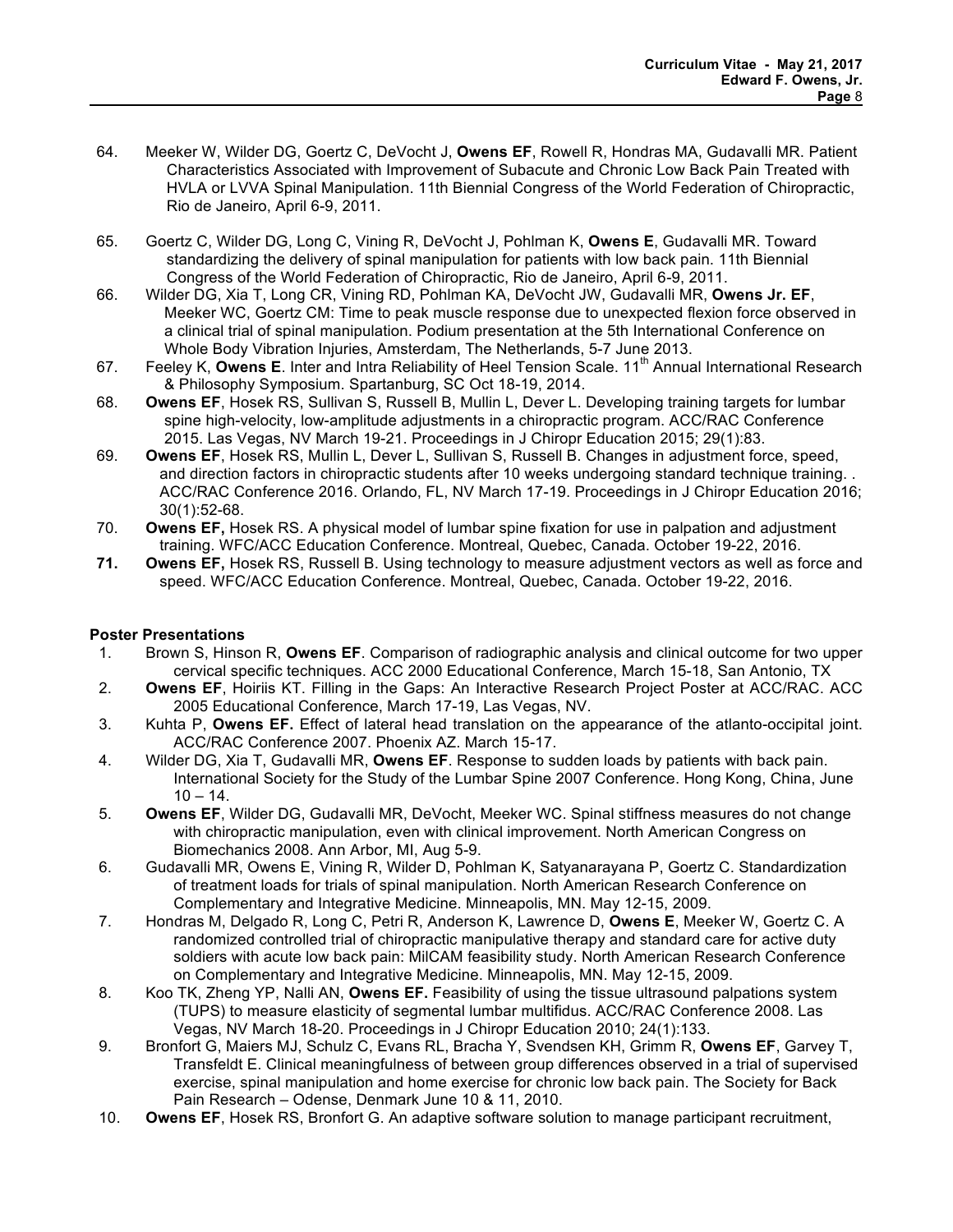- 64. Meeker W, Wilder DG, Goertz C, DeVocht J, **Owens EF**, Rowell R, Hondras MA, Gudavalli MR. Patient Characteristics Associated with Improvement of Subacute and Chronic Low Back Pain Treated with HVLA or LVVA Spinal Manipulation. 11th Biennial Congress of the World Federation of Chiropractic, Rio de Janeiro, April 6-9, 2011.
- 65. Goertz C, Wilder DG, Long C, Vining R, DeVocht J, Pohlman K, **Owens E**, Gudavalli MR. Toward standardizing the delivery of spinal manipulation for patients with low back pain. 11th Biennial Congress of the World Federation of Chiropractic, Rio de Janeiro, April 6-9, 2011.
- 66. Wilder DG, Xia T, Long CR, Vining RD, Pohlman KA, DeVocht JW, Gudavalli MR, **Owens Jr. EF**, Meeker WC, Goertz CM: Time to peak muscle response due to unexpected flexion force observed in a clinical trial of spinal manipulation. Podium presentation at the 5th International Conference on Whole Body Vibration Injuries, Amsterdam, The Netherlands, 5-7 June 2013.
- 67. Feeley K, **Owens E**. Inter and Intra Reliability of Heel Tension Scale. 11<sup>th</sup> Annual International Research & Philosophy Symposium. Spartanburg, SC Oct 18-19, 2014.
- 68. **Owens EF**, Hosek RS, Sullivan S, Russell B, Mullin L, Dever L. Developing training targets for lumbar spine high-velocity, low-amplitude adjustments in a chiropractic program. ACC/RAC Conference 2015. Las Vegas, NV March 19-21. Proceedings in J Chiropr Education 2015; 29(1):83.
- 69. **Owens EF**, Hosek RS, Mullin L, Dever L, Sullivan S, Russell B. Changes in adjustment force, speed, and direction factors in chiropractic students after 10 weeks undergoing standard technique training. . ACC/RAC Conference 2016. Orlando, FL, NV March 17-19. Proceedings in J Chiropr Education 2016; 30(1):52-68.
- 70. **Owens EF,** Hosek RS. A physical model of lumbar spine fixation for use in palpation and adjustment training. WFC/ACC Education Conference. Montreal, Quebec, Canada. October 19-22, 2016.
- **71. Owens EF,** Hosek RS, Russell B. Using technology to measure adjustment vectors as well as force and speed. WFC/ACC Education Conference. Montreal, Quebec, Canada. October 19-22, 2016.

### **Poster Presentations**

- 1. Brown S, Hinson R, **Owens EF**. Comparison of radiographic analysis and clinical outcome for two upper cervical specific techniques. ACC 2000 Educational Conference, March 15-18, San Antonio, TX
- 2. **Owens EF**, Hoiriis KT. Filling in the Gaps: An Interactive Research Project Poster at ACC/RAC. ACC 2005 Educational Conference, March 17-19, Las Vegas, NV.
- 3. Kuhta P, **Owens EF.** Effect of lateral head translation on the appearance of the atlanto-occipital joint. ACC/RAC Conference 2007. Phoenix AZ. March 15-17.
- 4. Wilder DG, Xia T, Gudavalli MR, **Owens EF**. Response to sudden loads by patients with back pain. International Society for the Study of the Lumbar Spine 2007 Conference. Hong Kong, China, June  $10 - 14.$
- 5. **Owens EF**, Wilder DG, Gudavalli MR, DeVocht, Meeker WC. Spinal stiffness measures do not change with chiropractic manipulation, even with clinical improvement. North American Congress on Biomechanics 2008. Ann Arbor, MI, Aug 5-9.
- 6. Gudavalli MR, Owens E, Vining R, Wilder D, Pohlman K, Satyanarayana P, Goertz C. Standardization of treatment loads for trials of spinal manipulation. North American Research Conference on Complementary and Integrative Medicine. Minneapolis, MN. May 12-15, 2009.
- 7. Hondras M, Delgado R, Long C, Petri R, Anderson K, Lawrence D, **Owens E**, Meeker W, Goertz C. A randomized controlled trial of chiropractic manipulative therapy and standard care for active duty soldiers with acute low back pain: MilCAM feasibility study. North American Research Conference on Complementary and Integrative Medicine. Minneapolis, MN. May 12-15, 2009.
- 8. Koo TK, Zheng YP, Nalli AN, **Owens EF.** Feasibility of using the tissue ultrasound palpations system (TUPS) to measure elasticity of segmental lumbar multifidus. ACC/RAC Conference 2008. Las Vegas, NV March 18-20. Proceedings in J Chiropr Education 2010; 24(1):133.
- 9. Bronfort G, Maiers MJ, Schulz C, Evans RL, Bracha Y, Svendsen KH, Grimm R, **Owens EF**, Garvey T, Transfeldt E. Clinical meaningfulness of between group differences observed in a trial of supervised exercise, spinal manipulation and home exercise for chronic low back pain. The Society for Back Pain Research – Odense, Denmark June 10 & 11, 2010.
- 10. **Owens EF**, Hosek RS, Bronfort G. An adaptive software solution to manage participant recruitment,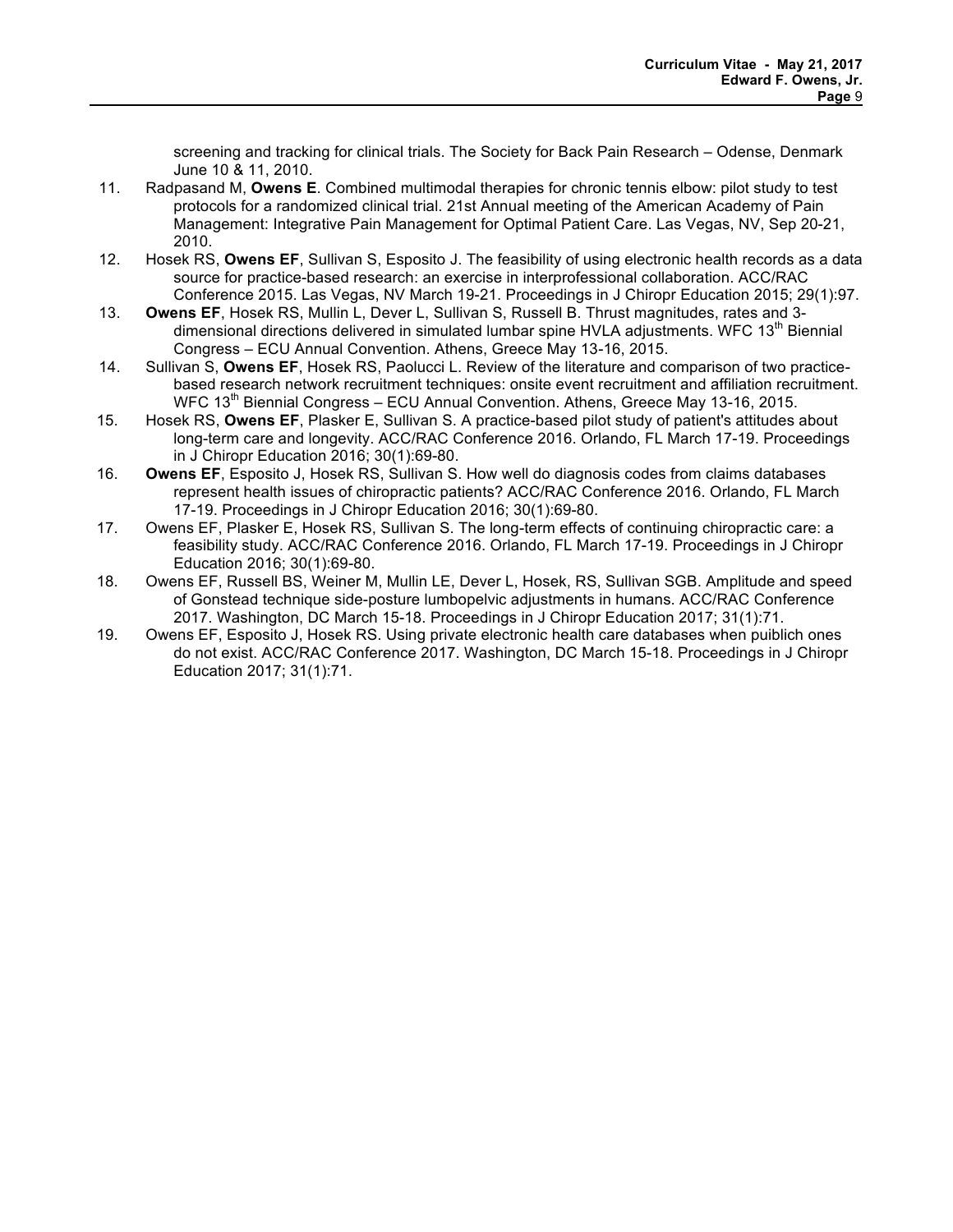screening and tracking for clinical trials. The Society for Back Pain Research – Odense, Denmark June 10 & 11, 2010.

- 11. Radpasand M, **Owens E**. Combined multimodal therapies for chronic tennis elbow: pilot study to test protocols for a randomized clinical trial. 21st Annual meeting of the American Academy of Pain Management: Integrative Pain Management for Optimal Patient Care. Las Vegas, NV, Sep 20-21, 2010.
- 12. Hosek RS, **Owens EF**, Sullivan S, Esposito J. The feasibility of using electronic health records as a data source for practice-based research: an exercise in interprofessional collaboration. ACC/RAC Conference 2015. Las Vegas, NV March 19-21. Proceedings in J Chiropr Education 2015; 29(1):97.
- 13. **Owens EF**, Hosek RS, Mullin L, Dever L, Sullivan S, Russell B. Thrust magnitudes, rates and 3 dimensional directions delivered in simulated lumbar spine HVLA adjustments. WFC 13<sup>th</sup> Biennial Congress – ECU Annual Convention. Athens, Greece May 13-16, 2015.
- 14. Sullivan S, **Owens EF**, Hosek RS, Paolucci L. Review of the literature and comparison of two practicebased research network recruitment techniques: onsite event recruitment and affiliation recruitment. WFC  $13<sup>th</sup>$  Biennial Congress – ECU Annual Convention. Athens, Greece May 13-16, 2015.
- 15. Hosek RS, **Owens EF**, Plasker E, Sullivan S. A practice-based pilot study of patient's attitudes about long-term care and longevity. ACC/RAC Conference 2016. Orlando, FL March 17-19. Proceedings in J Chiropr Education 2016; 30(1):69-80.
- 16. **Owens EF**, Esposito J, Hosek RS, Sullivan S. How well do diagnosis codes from claims databases represent health issues of chiropractic patients? ACC/RAC Conference 2016. Orlando, FL March 17-19. Proceedings in J Chiropr Education 2016; 30(1):69-80.
- 17. Owens EF, Plasker E, Hosek RS, Sullivan S. The long-term effects of continuing chiropractic care: a feasibility study. ACC/RAC Conference 2016. Orlando, FL March 17-19. Proceedings in J Chiropr Education 2016; 30(1):69-80.
- 18. Owens EF, Russell BS, Weiner M, Mullin LE, Dever L, Hosek, RS, Sullivan SGB. Amplitude and speed of Gonstead technique side-posture lumbopelvic adjustments in humans. ACC/RAC Conference 2017. Washington, DC March 15-18. Proceedings in J Chiropr Education 2017; 31(1):71.
- 19. Owens EF, Esposito J, Hosek RS. Using private electronic health care databases when puiblich ones do not exist. ACC/RAC Conference 2017. Washington, DC March 15-18. Proceedings in J Chiropr Education 2017; 31(1):71.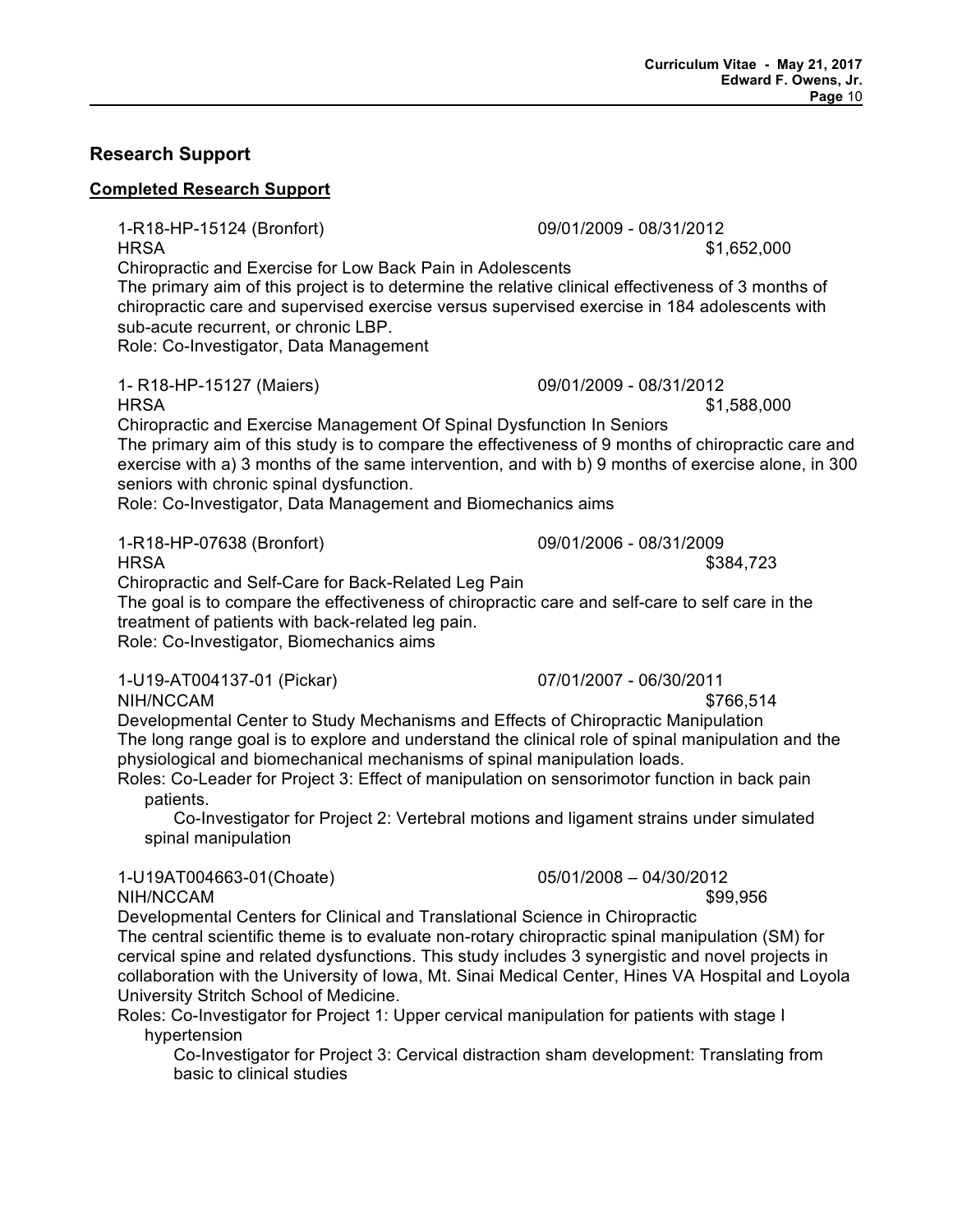## **Research Support**

## **Completed Research Support**

1-R18-HP-15124 (Bronfort) 09/01/2009 - 08/31/2012 HRSA \$1,652,000

Chiropractic and Exercise for Low Back Pain in Adolescents

The primary aim of this project is to determine the relative clinical effectiveness of 3 months of chiropractic care and supervised exercise versus supervised exercise in 184 adolescents with sub-acute recurrent, or chronic LBP.

Role: Co-Investigator, Data Management

1- R18-HP-15127 (Maiers) 09/01/2009 - 08/31/2012

Chiropractic and Exercise Management Of Spinal Dysfunction In Seniors The primary aim of this study is to compare the effectiveness of 9 months of chiropractic care and exercise with a) 3 months of the same intervention, and with b) 9 months of exercise alone, in 300 seniors with chronic spinal dysfunction.

Role: Co-Investigator, Data Management and Biomechanics aims

1-R18-HP-07638 (Bronfort) 09/01/2006 - 08/31/2009

Chiropractic and Self-Care for Back-Related Leg Pain

The goal is to compare the effectiveness of chiropractic care and self-care to self care in the treatment of patients with back-related leg pain.

Role: Co-Investigator, Biomechanics aims

1-U19-AT004137-01 (Pickar) 07/01/2007 - 06/30/2011 NIH/NCCAM

Developmental Center to Study Mechanisms and Effects of Chiropractic Manipulation The long range goal is to explore and understand the clinical role of spinal manipulation and the physiological and biomechanical mechanisms of spinal manipulation loads.

Roles: Co-Leader for Project 3: Effect of manipulation on sensorimotor function in back pain patients.

Co-Investigator for Project 2: Vertebral motions and ligament strains under simulated spinal manipulation

1-U19AT004663-01(Choate) 05/01/2008 – 04/30/2012

NIH/NCCAM \$99,956

Developmental Centers for Clinical and Translational Science in Chiropractic The central scientific theme is to evaluate non-rotary chiropractic spinal manipulation (SM) for cervical spine and related dysfunctions. This study includes 3 synergistic and novel projects in collaboration with the University of Iowa, Mt. Sinai Medical Center, Hines VA Hospital and Loyola University Stritch School of Medicine.

Roles: Co-Investigator for Project 1: Upper cervical manipulation for patients with stage I hypertension

Co-Investigator for Project 3: Cervical distraction sham development: Translating from basic to clinical studies

HRSA \$1,588,000

HRSA \$384,723